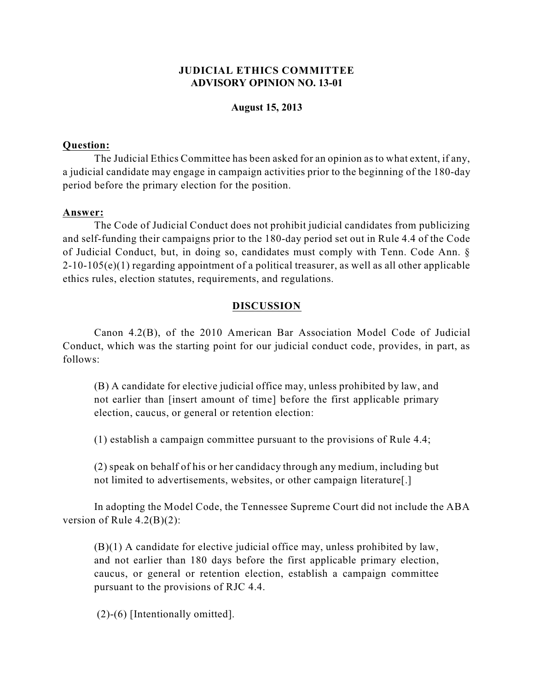# **JUDICIAL ETHICS COMMITTEE ADVISORY OPINION NO. 13-01**

### **August 15, 2013**

#### **Question:**

The Judicial Ethics Committee has been asked for an opinion as to what extent, if any, a judicial candidate may engage in campaign activities prior to the beginning of the 180-day period before the primary election for the position.

#### **Answer:**

The Code of Judicial Conduct does not prohibit judicial candidates from publicizing and self-funding their campaigns prior to the 180-day period set out in Rule 4.4 of the Code of Judicial Conduct, but, in doing so, candidates must comply with Tenn. Code Ann. §  $2-10-105(e)(1)$  regarding appointment of a political treasurer, as well as all other applicable ethics rules, election statutes, requirements, and regulations.

### **DISCUSSION**

Canon 4.2(B), of the 2010 American Bar Association Model Code of Judicial Conduct, which was the starting point for our judicial conduct code, provides, in part, as follows:

(B) A candidate for elective judicial office may, unless prohibited by law, and not earlier than [insert amount of time] before the first applicable primary election, caucus, or general or retention election:

(1) establish a campaign committee pursuant to the provisions of Rule 4.4;

(2) speak on behalf of his or her candidacy through any medium, including but not limited to advertisements, websites, or other campaign literature[.]

In adopting the Model Code, the Tennessee Supreme Court did not include the ABA version of Rule 4.2(B)(2):

(B)(1) A candidate for elective judicial office may, unless prohibited by law, and not earlier than 180 days before the first applicable primary election, caucus, or general or retention election, establish a campaign committee pursuant to the provisions of RJC 4.4.

(2)-(6) [Intentionally omitted].